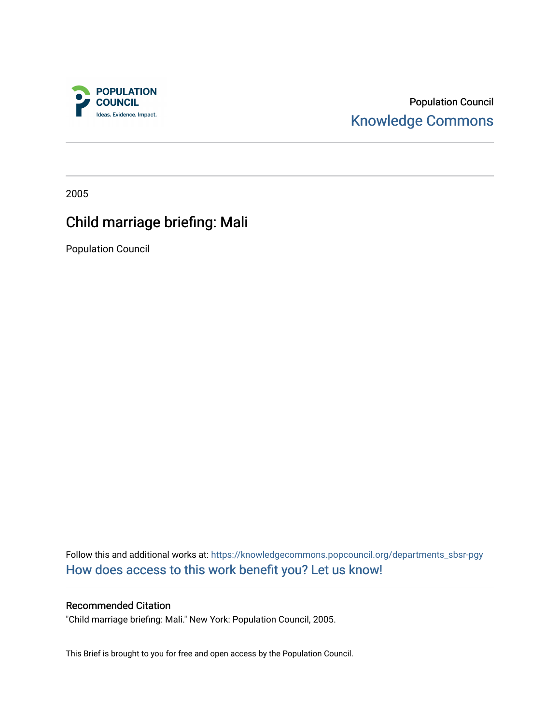

Population Council [Knowledge Commons](https://knowledgecommons.popcouncil.org/) 

2005

# Child marriage briefing: Mali

Population Council

Follow this and additional works at: [https://knowledgecommons.popcouncil.org/departments\\_sbsr-pgy](https://knowledgecommons.popcouncil.org/departments_sbsr-pgy?utm_source=knowledgecommons.popcouncil.org%2Fdepartments_sbsr-pgy%2F1323&utm_medium=PDF&utm_campaign=PDFCoverPages)  [How does access to this work benefit you? Let us know!](https://pcouncil.wufoo.com/forms/open-access-to-population-council-research/)

# Recommended Citation

"Child marriage briefing: Mali." New York: Population Council, 2005.

This Brief is brought to you for free and open access by the Population Council.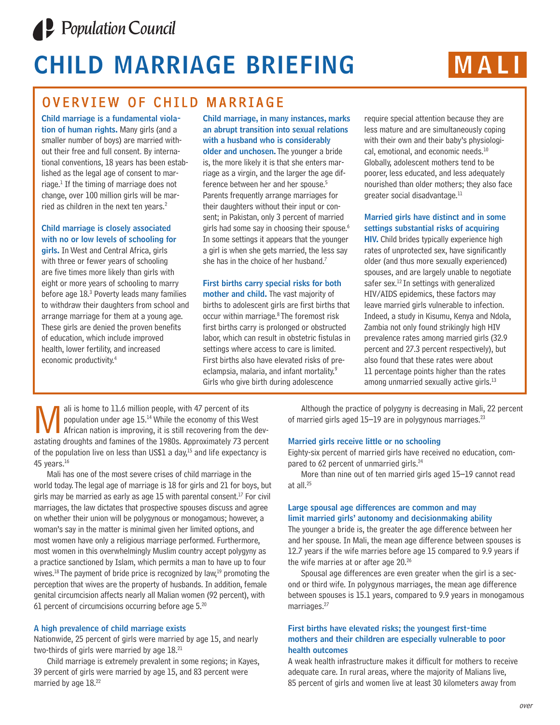

# **CHILD MARRIAGE BRIEFING MALI**



# OVERVIEW OF CHILD MARRIAGE

**Child marriage is a fundamental violation of human rights.** Many girls (and a smaller number of boys) are married without their free and full consent. By international conventions, 18 years has been established as the legal age of consent to marriage.<sup>1</sup> If the timing of marriage does not change, over 100 million girls will be married as children in the next ten years.<sup>2</sup>

## **Child marriage is closely associated with no or low levels of schooling for**

**girls.** In West and Central Africa, girls with three or fewer years of schooling are five times more likely than girls with eight or more years of schooling to marry before age  $18<sup>3</sup>$  Poverty leads many families to withdraw their daughters from school and arrange marriage for them at a young age. These girls are denied the proven benefits of education, which include improved health, lower fertility, and increased economic productivity. 4

**Child marriage, in many instances, marks an abrupt transition into sexual relations with a husband who is considerably older and unchosen.** The younger a bride is, the more likely it is that she enters marriage as a virgin, and the larger the age difference between her and her spouse.5 Parents frequently arrange marriages for their daughters without their input or consent; in Pakistan, only 3 percent of married girls had some say in choosing their spouse.<sup>6</sup> In some settings it appears that the younger a girl is when she gets married, the less say she has in the choice of her husband.<sup>7</sup>

#### **First births carry special risks for both mother and child.** The vast majority of births to adolescent girls are first births that occur within marriage.8 The foremost risk first births carry is prolonged or obstructed labor, which can result in obstetric fistulas in settings where access to care is limited. First births also have elevated risks of preeclampsia, malaria, and infant mortality.<sup>9</sup> Girls who give birth during adolescence

require special attention because they are less mature and are simultaneously coping with their own and their baby's physiological, emotional, and economic needs.<sup>10</sup> Globally, adolescent mothers tend to be poorer, less educated, and less adequately nourished than older mothers; they also face greater social disadvantage.<sup>11</sup>

## **Married girls have distinct and in some settings substantial risks of acquiring**

**HIV.** Child brides typically experience high rates of unprotected sex, have significantly older (and thus more sexually experienced) spouses, and are largely unable to negotiate safer sex.<sup>12</sup> In settings with generalized HIV/AIDS epidemics, these factors may leave married girls vulnerable to infection. Indeed, a study in Kisumu, Kenya and Ndola, Zambia not only found strikingly high HIV prevalence rates among married girls (32.9 percent and 27.3 percent respectively), but also found that these rates were about 11 percentage points higher than the rates among unmarried sexually active girls.<sup>13</sup>

ali is home to 11.6 million people, with 47 percent of its<br>population under age 15.<sup>14</sup> While the economy of this We<br>astating droughts and famines of the 1980s. Approximately 73 pe population under age 15.<sup>14</sup> While the economy of this West African nation is improving, it is still recovering from the devastating droughts and famines of the 1980s. Approximately 73 percent of the population live on less than US\$1 a day, $15$  and life expectancy is 45 years. $16$ 

Mali has one of the most severe crises of child marriage in the world today. The legal age of marriage is 18 for girls and 21 for boys, but girls may be married as early as age 15 with parental consent. $17$  For civil marriages, the law dictates that prospective spouses discuss and agree on whether their union will be polygynous or monogamous; however, a woman's say in the matter is minimal given her limited options, and most women have only a religious marriage performed. Furthermore, most women in this overwhelmingly Muslim country accept polygyny as a practice sanctioned by Islam, which permits a man to have up to four wives.<sup>18</sup> The payment of bride price is recognized by law,<sup>19</sup> promoting the perception that wives are the property of husbands. In addition, female genital circumcision affects nearly all Malian women (92 percent), with 61 percent of circumcisions occurring before age  $5.^{20}$ 

#### **A high prevalence of child marriage exists**

Nationwide, 25 percent of girls were married by age 15, and nearly two-thirds of girls were married by age  $18.<sup>21</sup>$ 

Child marriage is extremely prevalent in some regions; in Kayes, 39 percent of girls were married by age 15, and 83 percent were married by age 18.<sup>22</sup>

Although the practice of polygyny is decreasing in Mali, 22 percent of married girls aged  $15-19$  are in polygynous marriages.<sup>23</sup>

#### **Married girls receive little or no schooling**

Eighty-six percent of married girls have received no education, compared to 62 percent of unmarried girls.<sup>24</sup>

More than nine out of ten married girls aged 15–19 cannot read at all.25

#### **Large spousal age differences are common and may limit married girls' autonomy and decisionmaking ability**

The younger a bride is, the greater the age difference between her and her spouse. In Mali, the mean age difference between spouses is 12.7 years if the wife marries before age 15 compared to 9.9 years if the wife marries at or after age 20.<sup>26</sup>

Spousal age differences are even greater when the girl is a second or third wife. In polygynous marriages, the mean age difference between spouses is 15.1 years, compared to 9.9 years in monogamous marriages.<sup>27</sup>

#### **First births have elevated risks; the youngest first-time mothers and their children are especially vulnerable to poor health outcomes**

A weak health infrastructure makes it difficult for mothers to receive adequate care. In rural areas, where the majority of Malians live, 85 percent of girls and women live at least 30 kilometers away from